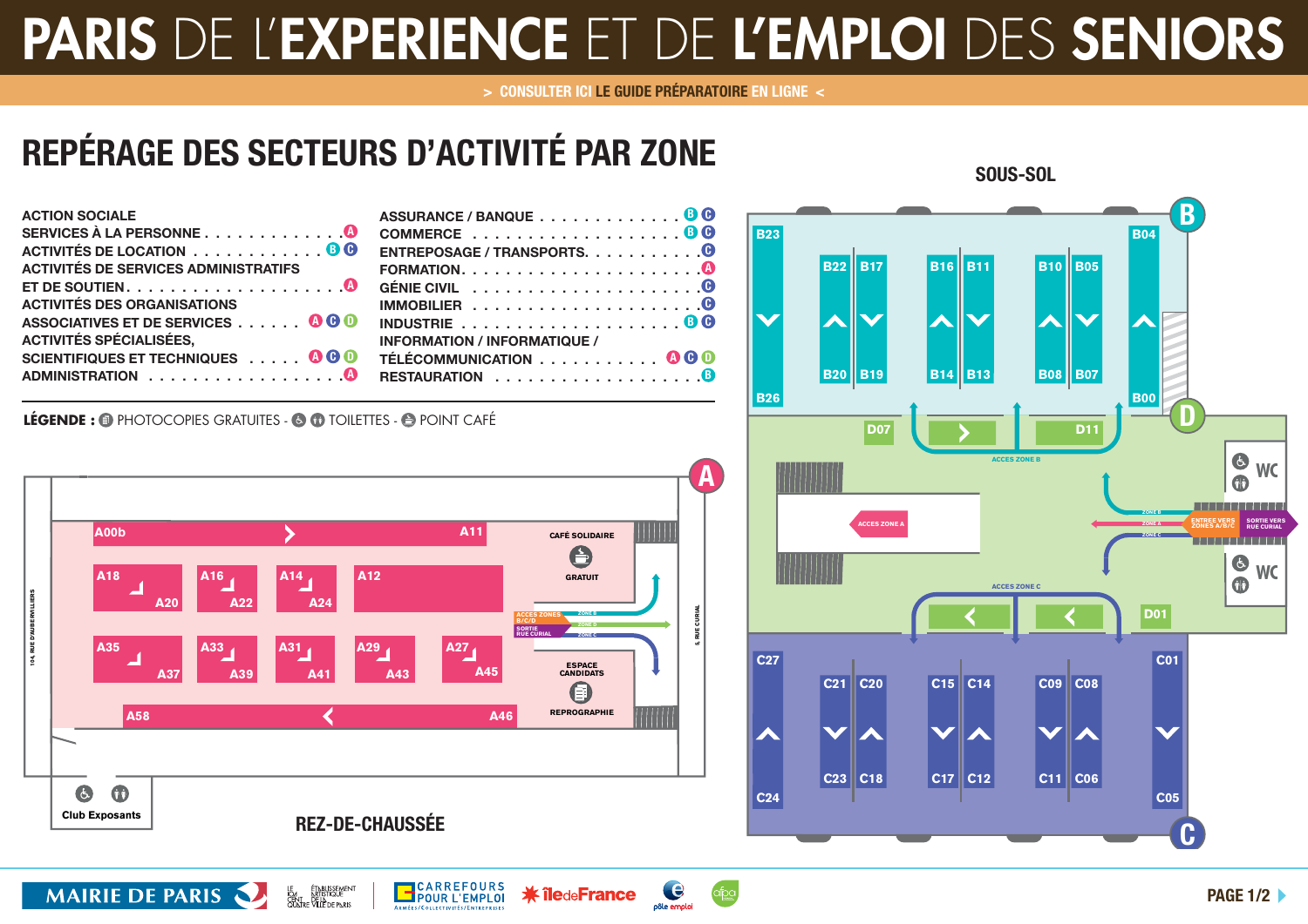## **PARIS** DE L'**EXPERIENCE** ET DE **L'EMPLOI** DES **SENIORS**

**> CONSULTER ICI LE GUIDE PRÉPARATOIRE EN LIGNE <**

e

pôle emplo

**\* îledeFrance** 

## **REPÉRAGE DES SECTEURS D'ACTIVITÉ PAR ZONE**

| <b>ACTION SOCIALE</b>                       | <b>ASSUF</b> |
|---------------------------------------------|--------------|
|                                             | <b>COMM</b>  |
| ACTIVITÉS DE LOCATION 0 0                   | <b>ENTRE</b> |
| <b>ACTIVITÉS DE SERVICES ADMINISTRATIFS</b> | <b>FORM</b>  |
|                                             | <b>GÉNIE</b> |
| <b>ACTIVITÉS DES ORGANISATIONS</b>          | <b>IMMO</b>  |
| ASSOCIATIVES ET DE SERVICES 000             | <b>INDUS</b> |
| <b>ACTIVITÉS SPÉCIALISÉES,</b>              | <b>INFOR</b> |
| SCIENTIFIQUES ET TECHNIQUES 000             | <b>TÉLÉC</b> |
|                                             | <b>RESTA</b> |
|                                             |              |

**MAIRIE DE PARIS** 

| ASSURANCE / BANQUE 0 0                                              |
|---------------------------------------------------------------------|
|                                                                     |
| ENTREPOSAGE / TRANSPORTS. $\dots \dots \dots$                       |
|                                                                     |
| GÉNIE CIVIL $\dots\dots\dots\dots\dots\dots\dots\bigcirc$           |
|                                                                     |
| INDUSTRIE $\ldots \ldots \ldots \ldots \ldots \ldots \oplus \Theta$ |
| <b>INFORMATION / INFORMATIQUE /</b>                                 |
| TÉLÉCOMMUNICATION 000                                               |
|                                                                     |

LÉGENDE : <sup>1</sup> PHOTOCOPIES GRATUITES - <sup>1</sup> <sup>1</sup> TOILETTES - <sup>1</sup> POINT CAFÉ



ÉT<u>NBUSSEMEN</u><br>NRTISTIQUE<br>: VILLE DE PNRIS

**B**CARREFOURS



**SOUS-SOL**